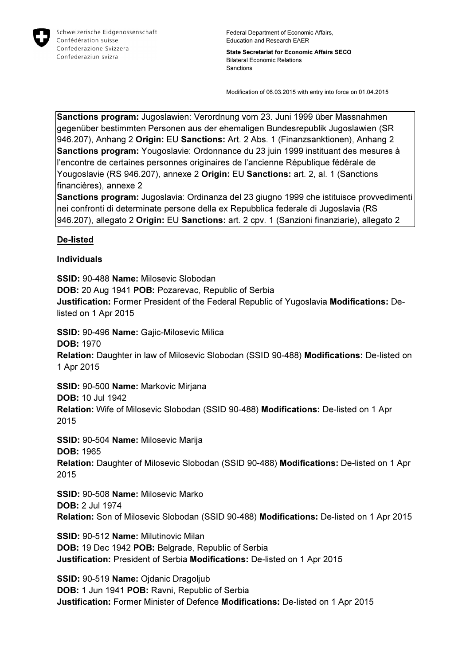

Federal Department of Economic Affairs, Education and Research EAER

State Secretariat for Economic Affairs SECO Bilateral Economic Relations Sanctions

Modification of 06.03.2015 with entry into force on 01.04.2015

Sanctions program: Jugoslawien: Verordnung vom 23. Juni 1999 über Massnahmen gegenüber bestimmten Personen aus der ehemaligen Bundesrepublik Jugoslawien (SR 946.207), Anhang 2 Origin: EU Sanctions: Art. 2 Abs. 1 (Finanzsanktionen), Anhang 2 Sanctions program: Yougoslavie: Ordonnance du 23 juin 1999 instituant des mesures à l'encontre de certaines personnes originaires de l'ancienne République fédérale de Yougoslavie (RS 946.207), annexe 2 Origin: EU Sanctions: art. 2, al. 1 (Sanctions financières), annexe 2

Sanctions program: Jugoslavia: Ordinanza del 23 giugno 1999 che istituisce provvedimenti nei confronti di determinate persone della ex Repubblica federale di Jugoslavia (RS 946.207), allegato 2 Origin: EU Sanctions: art. 2 cpv. 1 (Sanzioni finanziarie), allegato 2

## De-listed

## Individuals

SSID: 90-488 Name: Milosevic Slobodan DOB: 20 Aug 1941 POB: Pozarevac, Republic of Serbia Justification: Former President of the Federal Republic of Yugoslavia Modifications: Delisted on 1 Apr 2015 SSID: 90-496 Name: Gajic-Milosevic Milica DOB: 1970 Relation: Daughter in law of Milosevic Slobodan (SSID 90-488) Modifications: De-listed on 1 Apr 2015 SSID: 90-500 Name: Markovic Mirjana DOB: 10 Jul 1942 Relation: Wife of Milosevic Slobodan (SSID 90-488) Modifications: De-listed on 1 Apr 2015 SSID: 90-504 Name: Milosevic Marija DOB: 1965 Relation: Daughter of Milosevic Slobodan (SSID 90-488) Modifications: De-listed on 1 Apr 2015 SSID: 90-508 Name: Milosevic Marko DOB: 2 Jul 1974 Relation: Son of Milosevic Slobodan (SSID 90-488) Modifications: De-listed on 1 Apr 2015

SSID: 90-512 Name: Milutinovic Milan DOB: 19 Dec 1942 POB: Belgrade, Republic of Serbia Justification: President of Serbia Modifications: De-listed on 1 Apr 2015

SSID: 90-519 Name: Ojdanic Dragoljub DOB: 1 Jun 1941 POB: Ravni, Republic of Serbia Justification: Former Minister of Defence Modifications: De-listed on 1 Apr 2015